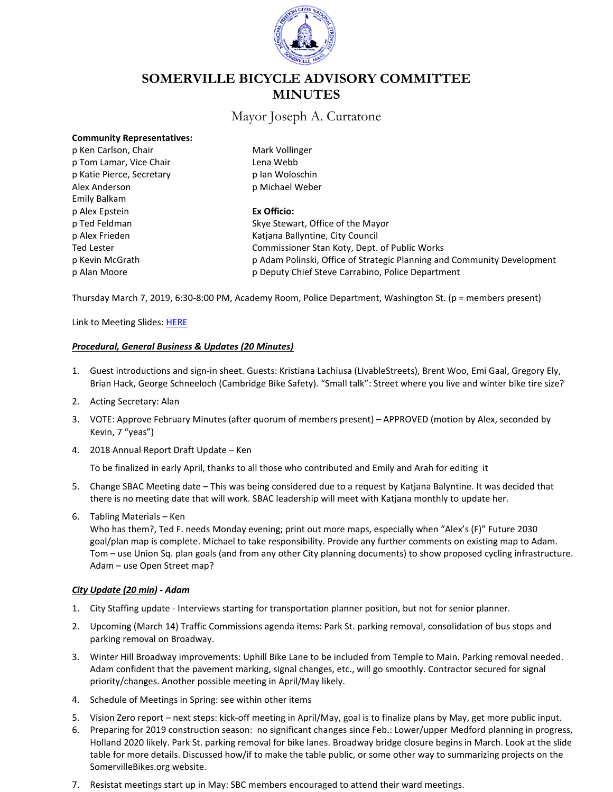

# **SOMERVILLE BICYCLE ADVISORY COMMITTEE MINUTES**

# Mayor Joseph A. Curtatone

## **Community Representatives:**

p Ken Carlson, Chair Mark Vollinger p Tom Lamar, Vice Chair **Lena Webb** p Katie Pierce, Secretary p Ian Woloschin Alex Anderson **p** Michael Weber Emily Balkam p Alex Epstein **Ex Officio:**

p Ted Feldman Skye Stewart, Office of the Mayor p Alex Frieden Mation Communication City Council Ted Lester Commissioner Stan Koty, Dept. of Public Works p Kevin McGrath p Adam Polinski, Office of Strategic Planning and Community Development p Alan Moore p Deputy Chief Steve Carrabino, Police Department

Thursday March 7, 2019, 6:30-8:00 PM, Academy Room, Police Department, Washington St. (p = members present)

Link to Meeting Slides: [HERE](https://app.box.com/s/o99g1awer6s86r90k9ffixrdf8yl3sau)

## *Procedural, General Business & Updates (20 Minutes)*

- 1. Guest introductions and sign-in sheet. Guests: Kristiana Lachiusa (LIvableStreets), Brent Woo, Emi Gaal, Gregory Ely, Brian Hack, George Schneeloch (Cambridge Bike Safety). "Small talk": Street where you live and winter bike tire size?
- 2. Acting Secretary: Alan
- 3. VOTE: Approve February Minutes (after quorum of members present) APPROVED (motion by Alex, seconded by Kevin, 7 "yeas")
- 4. 2018 Annual Report Draft Update Ken

To be finalized in early April, thanks to all those who contributed and Emily and Arah for editing it

- 5. Change SBAC Meeting date This was being considered due to a request by Katjana Balyntine. It was decided that there is no meeting date that will work. SBAC leadership will meet with Katjana monthly to update her.
- 6. Tabling Materials Ken

Who has them?, Ted F. needs Monday evening; print out more maps, especially when "Alex's (F)" Future 2030 goal/plan map is complete. Michael to take responsibility. Provide any further comments on existing map to Adam. Tom – use Union Sq. plan goals (and from any other City planning documents) to show proposed cycling infrastructure. Adam – use Open Street map?

## *City Update (20 min) - Adam*

- 1. City Staffing update Interviews starting for transportation planner position, but not for senior planner.
- 2. Upcoming (March 14) Traffic Commissions agenda items: Park St. parking removal, consolidation of bus stops and parking removal on Broadway.
- 3. Winter Hill Broadway improvements: Uphill Bike Lane to be included from Temple to Main. Parking removal needed. Adam confident that the pavement marking, signal changes, etc., will go smoothly. Contractor secured for signal priority/changes. Another possible meeting in April/May likely.
- 4. Schedule of Meetings in Spring: see within other items
- 5. Vision Zero report next steps: kick-off meeting in April/May, goal is to finalize plans by May, get more public input.
- 6. Preparing for 2019 construction season: no significant changes since Feb.: Lower/upper Medford planning in progress, Holland 2020 likely. Park St. parking removal for bike lanes. Broadway bridge closure begins in March. Look at the slide table for more details. Discussed how/if to make the table public, or some other way to summarizing projects on the SomervilleBikes.org website.
- 7. Resistat meetings start up in May: SBC members encouraged to attend their ward meetings.